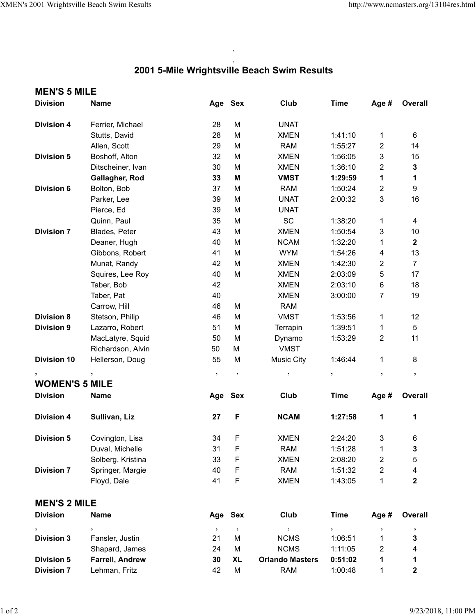## . **2001 5-Mile Wrightsville Beach Swim Results**

.

| <b>MEN'S 5 MILE</b>   |                        |           |            |                        |                     |                      |                         |  |  |  |  |
|-----------------------|------------------------|-----------|------------|------------------------|---------------------|----------------------|-------------------------|--|--|--|--|
| <b>Division</b>       | <b>Name</b>            |           | Age Sex    | Club                   | <b>Time</b>         | Age #                | Overall                 |  |  |  |  |
| <b>Division 4</b>     | Ferrier, Michael       | 28        | M          | <b>UNAT</b>            |                     |                      |                         |  |  |  |  |
|                       | Stutts, David          | 28        | M          | <b>XMEN</b>            | 1:41:10             | 1                    | 6                       |  |  |  |  |
|                       | Allen, Scott           | 29        | M          | <b>RAM</b>             | 1:55:27             | $\overline{c}$       | 14                      |  |  |  |  |
| <b>Division 5</b>     | Boshoff, Alton         | 32        | M          | <b>XMEN</b>            | 1:56:05             | 3                    | 15                      |  |  |  |  |
|                       | Ditscheiner, Ivan      | 30        | M          | <b>XMEN</b>            | 1:36:10             | $\overline{2}$       | 3                       |  |  |  |  |
|                       | Gallagher, Rod         | 33        | M          | <b>VMST</b>            | 1:29:59             | 1                    | 1                       |  |  |  |  |
| <b>Division 6</b>     | Bolton, Bob            | 37        | M          | <b>RAM</b>             | 1:50:24             | $\overline{2}$       | 9                       |  |  |  |  |
|                       | Parker, Lee            | 39        | M          | <b>UNAT</b>            | 2:00:32             | 3                    | 16                      |  |  |  |  |
|                       | Pierce, Ed             | 39        | M          | <b>UNAT</b>            |                     |                      |                         |  |  |  |  |
|                       | Quinn, Paul            | 35        | M          | <b>SC</b>              | 1:38:20             | 1                    | 4                       |  |  |  |  |
| <b>Division 7</b>     | Blades, Peter          | 43        | M          | <b>XMEN</b>            | 1:50:54             | 3                    | 10                      |  |  |  |  |
|                       | Deaner, Hugh           | 40        | M          | <b>NCAM</b>            | 1:32:20             | 1                    | $\overline{\mathbf{2}}$ |  |  |  |  |
|                       | Gibbons, Robert        | 41        | M          | <b>WYM</b>             | 1:54:26             | 4                    | 13                      |  |  |  |  |
|                       | Munat, Randy           | 42        | M          | <b>XMEN</b>            | 1:42:30             | $\overline{2}$       | $\overline{7}$          |  |  |  |  |
|                       | Squires, Lee Roy       | 40        | M          | <b>XMEN</b>            | 2:03:09             | 5                    | 17                      |  |  |  |  |
|                       | Taber, Bob             | 42        |            | <b>XMEN</b>            | 2:03:10             | 6                    | 18                      |  |  |  |  |
|                       | Taber, Pat             | 40        |            | <b>XMEN</b>            | 3:00:00             | $\overline{7}$       | 19                      |  |  |  |  |
|                       | Carrow, Hill           | 46        | М          | <b>RAM</b>             |                     |                      |                         |  |  |  |  |
| <b>Division 8</b>     | Stetson, Philip        | 46        | M          | <b>VMST</b>            | 1:53:56             | 1                    | 12                      |  |  |  |  |
| <b>Division 9</b>     | Lazarro, Robert        | 51        | M          | Terrapin               | 1:39:51             | 1                    | 5                       |  |  |  |  |
|                       | MacLatyre, Squid       | 50        | M          | Dynamo                 | 1:53:29             | $\overline{2}$       | 11                      |  |  |  |  |
|                       | Richardson, Alvin      | 50        | M          | <b>VMST</b>            |                     |                      |                         |  |  |  |  |
| <b>Division 10</b>    | Hellerson, Doug        | 55        | M          | <b>Music City</b>      | 1:46:44             | 1                    | 8                       |  |  |  |  |
| $\pmb{\mathcal{I}}$   | $\overline{ }$         | $\, ,$    | $\,$       | $\pmb{\mathfrak{z}}$   | $\pmb{\mathcal{I}}$ | $\pmb{\mathfrak{h}}$ | $\pmb{\mathfrak{z}}$    |  |  |  |  |
| <b>WOMEN'S 5 MILE</b> |                        |           |            |                        |                     |                      |                         |  |  |  |  |
| <b>Division</b>       | <b>Name</b>            | Age       | <b>Sex</b> | Club                   | <b>Time</b>         | Age #                | <b>Overall</b>          |  |  |  |  |
| <b>Division 4</b>     | Sullivan, Liz          | 27        | F          | <b>NCAM</b>            | 1:27:58             | 1                    | 1                       |  |  |  |  |
| <b>Division 5</b>     | Covington, Lisa        | 34        | F          | <b>XMEN</b>            | 2:24:20             | 3                    | 6                       |  |  |  |  |
|                       | Duval, Michelle        | 31        | F          | <b>RAM</b>             | 1:51:28             | 1                    | 3                       |  |  |  |  |
|                       | Solberg, Kristina      | 33        | F          | <b>XMEN</b>            | 2:08:20             | $\overline{c}$       | 5                       |  |  |  |  |
| <b>Division 7</b>     | Springer, Margie       | 40        | F          | <b>RAM</b>             | 1:51:32             | $\overline{2}$       | 4                       |  |  |  |  |
|                       | Floyd, Dale            | 41        | F          | <b>XMEN</b>            | 1:43:05             | 1                    | $\mathbf{2}$            |  |  |  |  |
| <b>MEN'S 2 MILE</b>   |                        |           |            |                        |                     |                      |                         |  |  |  |  |
| <b>Division</b>       | <b>Name</b>            |           | Age Sex    | Club                   | <b>Time</b>         | Age #                | <b>Overall</b>          |  |  |  |  |
| $\pmb{\mathfrak{z}}$  | $^\circ$               | $\bullet$ | $\,$       | ,                      | $\pmb{\mathcal{I}}$ | $^\circ$             | $\cdot$                 |  |  |  |  |
| <b>Division 3</b>     | Fansler, Justin        | 21        | M          | <b>NCMS</b>            | 1:06:51             | 1                    | 3                       |  |  |  |  |
|                       | Shapard, James         | 24        | M          | <b>NCMS</b>            | 1:11:05             | $\overline{c}$       | 4                       |  |  |  |  |
| <b>Division 5</b>     | <b>Farrell, Andrew</b> | 30        | <b>XL</b>  | <b>Orlando Masters</b> | 0:51:02             | 1                    | 1                       |  |  |  |  |
| <b>Division 7</b>     | Lehman, Fritz          | 42        | M          | <b>RAM</b>             | 1:00:48             | 1                    | $\mathbf 2$             |  |  |  |  |